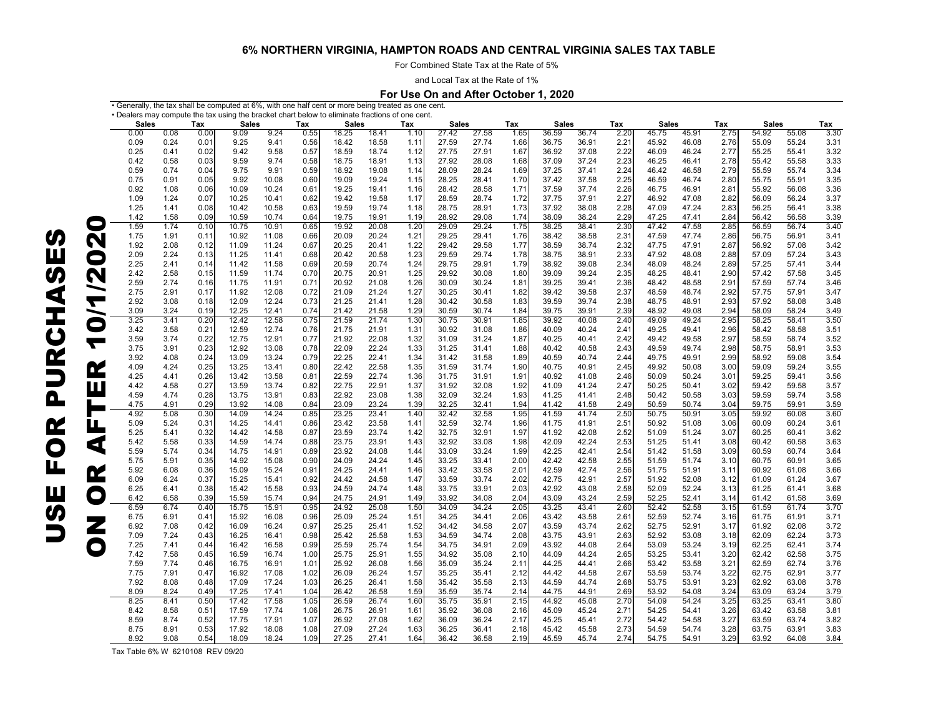For Combined State Tax at the Rate of 5%

and Local Tax at the Rate of 1%

#### **For Use On and After October 1, 2020**

• Generally, the tax shall be computed at  $6\%$ , with one half cent or more being treated as one cent.<br>• Deelers may compute the tax using the brocket chert below to eliminate fractions of and sent.

|                      | <b>Sales</b> | • Dealers may compute the tax using the bracket chart below to eliminate fractions of one cent.<br>Tax<br><b>Sales</b><br>Tax<br><b>Sales</b> |      |       |       |      | Tax<br><b>Sales</b> |       |      |       | Tax<br><b>Sales</b> |      |       | <b>Sales</b> |              | Tax   | <b>Sales</b> |      | Tax   |       |      |
|----------------------|--------------|-----------------------------------------------------------------------------------------------------------------------------------------------|------|-------|-------|------|---------------------|-------|------|-------|---------------------|------|-------|--------------|--------------|-------|--------------|------|-------|-------|------|
|                      | 0.00         | 0.08                                                                                                                                          | 0.00 | 9.09  | 9.24  | 0.55 | 18.25               | 18.41 | 1.10 | 27.42 | 27.58               | 1.65 | 36.59 | 36.74        | Tax<br>2.20  | 45.75 | 45.91        | 2.75 | 54.92 | 55.08 | 3.30 |
|                      | 0.09         | 0.24                                                                                                                                          | 0.01 | 9.25  | 9.41  | 0.56 | 18.42               | 18.58 | 1.11 | 27.59 | 27.74               | 1.66 | 36.75 | 36.91        | 2.21         | 45.92 | 46.08        | 2.76 | 55.09 | 55.24 | 3.31 |
|                      | 0.25         | 0.41                                                                                                                                          | 0.02 | 9.42  | 9.58  | 0.57 | 18.59               | 18.74 | 1.12 | 27.75 | 27.91               | 1.67 | 36.92 | 37.08        | 2.22         | 46.09 | 46.24        | 2.77 | 55.25 | 55.41 | 3.32 |
|                      | 0.42         | 0.58                                                                                                                                          | 0.03 | 9.59  | 9.74  | 0.58 | 18.75               | 18.91 | 1.13 | 27.92 | 28.08               | 1.68 | 37.09 | 37.24        | 2.23         | 46.25 | 46.41        | 2.78 | 55.42 | 55.58 | 3.33 |
|                      | 0.59         | 0.74                                                                                                                                          | 0.04 | 9.75  | 9.91  | 0.59 | 18.92               | 19.08 | 1.14 | 28.09 | 28.24               | 1.69 | 37.25 | 37.41        | 2.24         | 46.42 | 46.58        | 2.79 | 55.59 | 55.74 | 3.34 |
|                      | 0.75         | 0.91                                                                                                                                          | 0.05 | 9.92  | 10.08 | 0.60 | 19.09               | 19.24 | 1.15 | 28.25 | 28.41               | 1.70 | 37.42 | 37.58        | 2.25         | 46.59 | 46.74        | 2.80 | 55.75 | 55.91 | 3.35 |
|                      | 0.92         |                                                                                                                                               |      | 10.09 | 10.24 | 0.61 |                     | 19.41 | 1.16 |       | 28.58               | 1.71 | 37.59 |              | 2.26         |       | 46.91        | 2.81 | 55.92 | 56.08 |      |
|                      |              | 1.08                                                                                                                                          | 0.06 |       |       |      | 19.25               |       |      | 28.42 |                     |      |       | 37.74        |              | 46.75 |              |      |       |       | 3.36 |
|                      | 1.09         | 1.24                                                                                                                                          | 0.07 | 10.25 | 10.41 | 0.62 | 19.42               | 19.58 | 1.17 | 28.59 | 28.74               | 1.72 | 37.75 | 37.91        | 2.27         | 46.92 | 47.08        | 2.82 | 56.09 | 56.24 | 3.37 |
|                      | 1.25         | 1.41                                                                                                                                          | 0.08 | 10.42 | 10.58 | 0.63 | 19.59               | 19.74 | 1.18 | 28.75 | 28.91               | 1.73 | 37.92 | 38.08        | 2.28<br>2.29 | 47.09 | 47.24        | 2.83 | 56.25 | 56.41 | 3.38 |
| O                    | 1.42         | 1.58                                                                                                                                          | 0.09 | 10.59 | 10.74 | 0.64 | 19.75               | 19.91 | 1.19 | 28.92 | 29.08               | 1.74 | 38.09 | 38.24        |              | 47.25 | 47.41        | 2.84 | 56.42 | 56.58 | 3.39 |
|                      | 1.59         | 1.74                                                                                                                                          | 0.10 | 10.75 | 10.91 | 0.65 | 19.92               | 20.08 | 1.20 | 29.09 | 29.24               | 1.75 | 38.25 | 38.41        | 2.30         | 47.42 | 47.58        | 2.85 | 56.59 | 56.74 | 3.40 |
| N                    | 1.75         | 1.91                                                                                                                                          | 0.11 | 10.92 | 11.08 | 0.66 | 20.09               | 20.24 | 1.21 | 29.25 | 29.41               | 1.76 | 38.42 | 38.58        | 2.31         | 47.59 | 47.74        | 2.86 | 56.75 | 56.91 | 3.41 |
|                      | 1.92         | 2.08                                                                                                                                          | 0.12 | 11.09 | 11.24 | 0.67 | 20.25               | 20.41 | 1.22 | 29.42 | 29.58               | 1.77 | 38.59 | 38.74        | 2.32         | 47.75 | 47.91        | 2.87 | 56.92 | 57.08 | 3.42 |
| O                    | 2.09         | 2.24                                                                                                                                          | 0.13 | 11.25 | 11.41 | 0.68 | 20.42               | 20.58 | 1.23 | 29.59 | 29.74               | 1.78 | 38.75 | 38.91        | 2.33         | 47.92 | 48.08        | 2.88 | 57.09 | 57.24 | 3.43 |
|                      | 2.25         | 2.41                                                                                                                                          | 0.14 | 11.42 | 11.58 | 0.69 | 20.59               | 20.74 | 1.24 | 29.75 | 29.91               | 1.79 | 38.92 | 39.08        | 2.34         | 48.09 | 48.24        | 2.89 | 57.25 | 57.41 | 3.44 |
| N                    | 2.42         | 2.58                                                                                                                                          | 0.15 | 11.59 | 11.74 | 0.70 | 20.75               | 20.91 | 1.25 | 29.92 | 30.08               | 1.80 | 39.09 | 39.24        | 2.35         | 48.25 | 48.41        | 2.90 | 57.42 | 57.58 | 3.45 |
| ╼                    | 2.59         | 2.74                                                                                                                                          | 0.16 | 11.75 | 11.91 | 0.71 | 20.92               | 21.08 | 1.26 | 30.09 | 30.24               | 1.81 | 39.25 | 39.41        | 2.36         | 48.42 | 48.58        | 2.91 | 57.59 | 57.74 | 3.46 |
|                      | 2.75         | 2.91                                                                                                                                          | 0.17 | 11.92 | 12.08 | 0.72 | 21.09               | 21.24 | 1.27 | 30.25 | 30.41               | 1.82 | 39.42 | 39.58        | 2.37         | 48.59 | 48.74        | 2.92 | 57.75 | 57.91 | 3.47 |
| $\blacktriangledown$ | 2.92         | 3.08                                                                                                                                          | 0.18 | 12.09 | 12.24 | 0.73 | 21.25               | 21.41 | 1.28 | 30.42 | 30.58               | 1.83 | 39.59 | 39.74        | 2.38         | 48.75 | 48.91        | 2.93 | 57.92 | 58.08 | 3.48 |
| ∼                    | 3.09         | 3.24                                                                                                                                          | 0.19 | 12.25 | 12.41 | 0.74 | 21.42               | 21.58 | 1.29 | 30.59 | 30.74               | 1.84 | 39.75 | 39.91        | 2.39         | 48.92 | 49.08        | 2.94 | 58.09 | 58.24 | 3.49 |
| O                    | 3.25         | 3.41                                                                                                                                          | 0.20 | 12.42 | 12.58 | 0.75 | 21.59               | 21.74 | 1.30 | 30.75 | 30.91               | 1.85 | 39.92 | 40.08        | 2.40         | 49.09 | 49.24        | 2.95 | 58.25 | 58.41 | 3.50 |
|                      | 3.42         | 3.58                                                                                                                                          | 0.21 | 12.59 | 12.74 | 0.76 | 21.75               | 21.91 | 1.31 | 30.92 | 31.08               | 1.86 | 40.09 | 40.24        | 2.41         | 49.25 | 49.41        | 2.96 | 58.42 | 58.58 | 3.51 |
| ┳                    | 3.59         | 3.74                                                                                                                                          | 0.22 | 12.75 | 12.91 | 0.77 | 21.92               | 22.08 | 1.32 | 31.09 | 31.24               | 1.87 | 40.25 | 40.41        | 2.42         | 49.42 | 49.58        | 2.97 | 58.59 | 58.74 | 3.52 |
|                      | 3.75         | 3.91                                                                                                                                          | 0.23 | 12.92 | 13.08 | 0.78 | 22.09               | 22.24 | 1.33 | 31.25 | 31.41               | 1.88 | 40.42 | 40.58        | 2.43         | 49.59 | 49.74        | 2.98 | 58.75 | 58.91 | 3.53 |
|                      | 3.92         | 4.08                                                                                                                                          | 0.24 | 13.09 | 13.24 | 0.79 | 22.25               | 22.41 | 1.34 | 31.42 | 31.58               | 1.89 | 40.59 | 40.74        | 2.44         | 49.75 | 49.91        | 2.99 | 58.92 | 59.08 | 3.54 |
| Œ                    | 4.09         | 4.24                                                                                                                                          | 0.25 | 13.25 | 13.41 | 0.80 | 22.42               | 22.58 | 1.35 | 31.59 | 31.74               | 1.90 | 40.75 | 40.91        | 2.45         | 49.92 | 50.08        | 3.00 | 59.09 | 59.24 | 3.55 |
|                      | 4.25         | 4.41                                                                                                                                          | 0.26 | 13.42 | 13.58 | 0.81 | 22.59               | 22.74 | 1.36 | 31.75 | 31.91               | 1.91 | 40.92 | 41.08        | 2.46         | 50.09 | 50.24        | 3.01 | 59.25 | 59.41 | 3.56 |
| Ш                    | 4.42         | 4.58                                                                                                                                          | 0.27 | 13.59 | 13.74 | 0.82 | 22.75               | 22.91 | 1.37 | 31.92 | 32.08               | 1.92 | 41.09 | 41.24        | 2.47         | 50.25 | 50.41        | 3.02 | 59.42 | 59.58 | 3.57 |
|                      | 4.59         | 4.74                                                                                                                                          | 0.28 | 13.75 | 13.91 | 0.83 | 22.92               | 23.08 | 1.38 | 32.09 | 32.24               | 1.93 | 41.25 | 41.41        | 2.48         | 50.42 | 50.58        | 3.03 | 59.59 | 59.74 | 3.58 |
|                      | 4.75         | 4.91                                                                                                                                          | 0.29 | 13.92 | 14.08 | 0.84 | 23.09               | 23.24 | 1.39 | 32.25 | 32.41               | 1.94 | 41.42 | 41.58        | 2.49         | 50.59 | 50.74        | 3.04 | 59.75 | 59.91 | 3.59 |
| ī                    | 4.92         | 5.08                                                                                                                                          | 0.30 | 14.09 | 14.24 | 0.85 | 23.25               | 23.41 | 1.40 | 32.42 | 32.58               | 1.95 | 41.59 | 41.74        | 2.50         | 50.75 | 50.91        | 3.05 | 59.92 | 60.08 | 3.60 |
| Щ                    | 5.09         | 5.24                                                                                                                                          | 0.31 | 14.25 | 14.41 | 0.86 | 23.42               | 23.58 | 1.41 | 32.59 | 32.74               | 1.96 | 41.75 | 41.91        | 2.51         | 50.92 | 51.08        | 3.06 | 60.09 | 60.24 | 3.61 |
|                      | 5.25         | 5.41                                                                                                                                          | 0.32 | 14.42 | 14.58 | 0.87 | 23.59               | 23.74 | 1.42 | 32.75 | 32.91               | 1.97 | 41.92 | 42.08        | 2.52         | 51.09 | 51.24        | 3.07 | 60.25 | 60.41 | 3.62 |
| q                    | 5.42         | 5.58                                                                                                                                          | 0.33 | 14.59 | 14.74 | 0.88 | 23.75               | 23.91 | 1.43 | 32.92 | 33.08               | 1.98 | 42.09 | 42.24        | 2.53         | 51.25 | 51.41        | 3.08 | 60.42 | 60.58 | 3.63 |
|                      | 5.59         | 5.74                                                                                                                                          | 0.34 | 14.75 | 14.91 | 0.89 | 23.92               | 24.08 | 1.44 | 33.09 | 33.24               | 1.99 | 42.25 | 42.41        | 2.54         | 51.42 | 51.58        | 3.09 | 60.59 | 60.74 | 3.64 |
|                      | 5.75         | 5.91                                                                                                                                          | 0.35 | 14.92 | 15.08 | 0.90 | 24.09               | 24.24 | 1.45 | 33.25 | 33.41               | 2.00 | 42.42 | 42.58        | 2.55         | 51.59 | 51.74        | 3.10 | 60.75 | 60.91 | 3.65 |
| Œ                    | 5.92         | 6.08                                                                                                                                          | 0.36 | 15.09 | 15.24 | 0.91 | 24.25               | 24.41 | 1.46 | 33.42 | 33.58               | 2.01 | 42.59 | 42.74        | 2.56         | 51.75 | 51.91        | 3.11 | 60.92 | 61.08 | 3.66 |
|                      | 6.09         | 6.24                                                                                                                                          | 0.37 | 15.25 | 15.41 | 0.92 | 24.42               | 24.58 | 1.47 | 33.59 | 33.74               | 2.02 | 42.75 | 42.91        | 2.57         | 51.92 | 52.08        | 3.12 | 61.09 | 61.24 | 3.67 |
|                      | 6.25         | 6.41                                                                                                                                          | 0.38 | 15.42 | 15.58 | 0.93 | 24.59               | 24.74 | 1.48 | 33.75 | 33.91               | 2.03 | 42.92 | 43.08        | 2.58         | 52.09 | 52.24        | 3.13 | 61.25 | 61.41 | 3.68 |
| O                    | 6.42         | 6.58                                                                                                                                          | 0.39 | 15.59 | 15.74 | 0.94 | 24.75               | 24.91 | 1.49 | 33.92 | 34.08               | 2.04 | 43.09 | 43.24        | 2.59         | 52.25 | 52.41        | 3.14 | 61.42 | 61.58 | 3.69 |
|                      | 6.59         | 6.74                                                                                                                                          | 0.40 | 15.75 | 15.91 | 0.95 | 24.92               | 25.08 | 1.50 | 34.09 | 34.24               | 2.05 | 43.25 | 43.41        | 2.60         | 52.42 | 52.58        | 3.15 | 61.59 | 61.74 | 3.70 |
|                      | 6.75         | 6.91                                                                                                                                          | 0.41 | 15.92 | 16.08 | 0.96 | 25.09               | 25.24 | 1.51 | 34.25 | 34.41               | 2.06 | 43.42 | 43.58        | 2.61         | 52.59 | 52.74        | 3.16 | 61.75 | 61.91 | 3.71 |
| Z                    | 6.92         | 7.08                                                                                                                                          | 0.42 | 16.09 | 16.24 | 0.97 | 25.25               | 25.41 | 1.52 | 34.42 | 34.58               | 2.07 | 43.59 | 43.74        | 2.62         | 52.75 | 52.91        | 3.17 | 61.92 | 62.08 | 3.72 |
|                      | 7.09         | 7.24                                                                                                                                          | 0.43 | 16.25 | 16.41 | 0.98 | 25.42               | 25.58 | 1.53 | 34.59 | 34.74               | 2.08 | 43.75 | 43.91        | 2.63         | 52.92 | 53.08        | 3.18 | 62.09 | 62.24 | 3.73 |
| O                    | 7.25         | 7.41                                                                                                                                          | 0.44 | 16.42 | 16.58 | 0.99 | 25.59               | 25.74 | 1.54 | 34.75 | 34.91               | 2.09 | 43.92 | 44.08        | 2.64         | 53.09 | 53.24        | 3.19 | 62.25 | 62.41 | 3.74 |
|                      | 7.42         | 7.58                                                                                                                                          | 0.45 | 16.59 | 16.74 | 1.00 | 25.75               | 25.91 | 1.55 | 34.92 | 35.08               | 2.10 | 44.09 | 44.24        | 2.65         | 53.25 | 53.41        | 3.20 | 62.42 | 62.58 | 3.75 |
|                      | 7.59         | 7.74                                                                                                                                          | 0.46 | 16.75 | 16.91 | 1.01 | 25.92               | 26.08 | 1.56 | 35.09 | 35.24               | 2.11 | 44.25 | 44.41        | 2.66         | 53.42 | 53.58        | 3.21 | 62.59 | 62.74 | 3.76 |
|                      | 7.75         | 7.91                                                                                                                                          | 0.47 | 16.92 | 17.08 | 1.02 | 26.09               | 26.24 | 1.57 | 35.25 | 35.41               | 2.12 | 44.42 | 44.58        | 2.67         | 53.59 | 53.74        | 3.22 | 62.75 | 62.91 | 3.77 |
|                      | 7.92         | 8.08                                                                                                                                          | 0.48 | 17.09 | 17.24 | 1.03 | 26.25               | 26.41 | 1.58 | 35.42 | 35.58               | 2.13 | 44.59 | 44.74        | 2.68         | 53.75 | 53.91        | 3.23 | 62.92 | 63.08 | 3.78 |
|                      | 8.09         | 8.24                                                                                                                                          | 0.49 | 17.25 | 17.41 | 1.04 | 26.42               | 26.58 | 1.59 | 35.59 | 35.74               | 2.14 | 44.75 | 44.91        | 2.69         | 53.92 | 54.08        | 3.24 | 63.09 | 63.24 | 3.79 |
|                      | 8.25         | 8.41                                                                                                                                          | 0.50 | 17.42 | 17.58 | 1.05 | 26.59               | 26.74 | 1.60 | 35.75 | 35.91               | 2.15 | 44.92 | 45.08        | 2.70         | 54.09 | 54.24        | 3.25 | 63.25 | 63.41 | 3.80 |
|                      | 8.42         | 8.58                                                                                                                                          | 0.51 | 17.59 | 17.74 | 1.06 | 26.75               | 26.91 | 1.61 | 35.92 | 36.08               | 2.16 | 45.09 | 45.24        | 2.71         | 54.25 | 54.41        | 3.26 | 63.42 | 63.58 | 3.81 |
|                      | 8.59         | 8.74                                                                                                                                          | 0.52 | 17.75 | 17.91 | 1.07 | 26.92               | 27.08 | 1.62 | 36.09 | 36.24               | 2.17 | 45.25 | 45.41        | 2.72         | 54.42 | 54.58        | 3.27 | 63.59 | 63.74 | 3.82 |
|                      | 8.75         | 8.91                                                                                                                                          | 0.53 | 17.92 | 18.08 | 1.08 | 27.09               | 27.24 | 1.63 | 36.25 | 36.41               | 2.18 | 45.42 | 45.58        | 2.73         | 54.59 | 54.74        | 3.28 | 63.75 | 63.91 | 3.83 |
|                      | 8.92         | 9.08                                                                                                                                          | 0.54 | 18.09 | 18.24 | 1.09 | 27.25               | 27.41 | 1.64 | 36.42 | 36.58               | 2.19 | 45.59 | 45.74        | 2.74         | 54.75 | 54.91        | 3.29 | 63.92 | 64.08 | 3.84 |

Tax Table 6% W 6210108 REV 09/20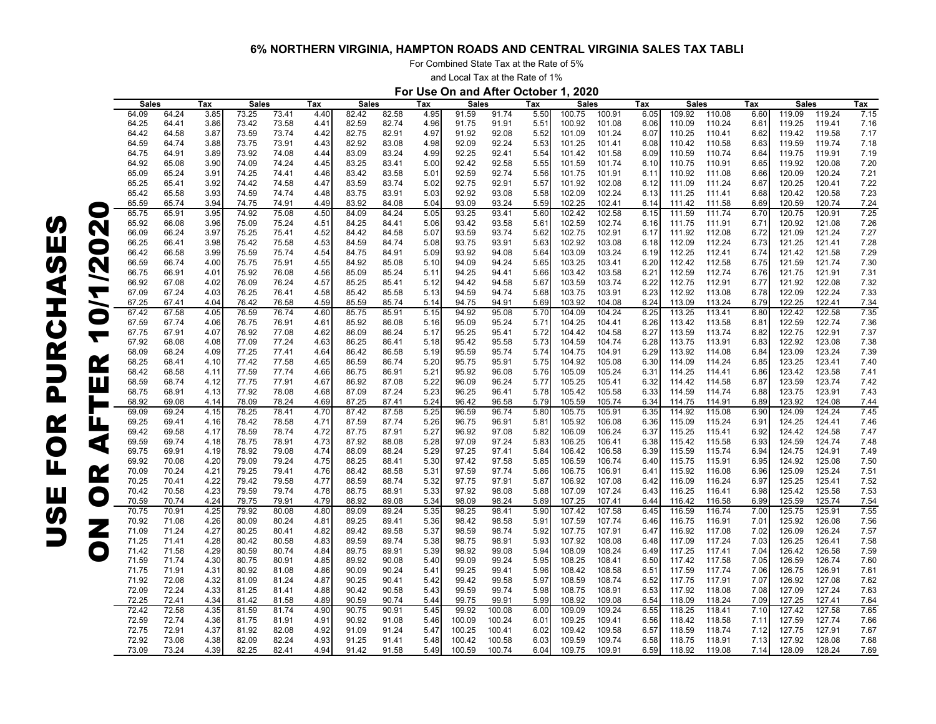For Combined State Tax at the Rate of 5%

and Local Tax at the Rate of 1%

**For Use On and After October 1, 2020**

|                |              |       |      |       |              | Tax  |              |       |                  |              |        |      |              |        |      |              |        |      |              |        |      |
|----------------|--------------|-------|------|-------|--------------|------|--------------|-------|------------------|--------------|--------|------|--------------|--------|------|--------------|--------|------|--------------|--------|------|
|                | <b>Sales</b> |       | Tax  |       | <b>Sales</b> |      | <b>Sales</b> |       | Tax              | <b>Sales</b> |        | Tax  | <b>Sales</b> |        | Tax  | <b>Sales</b> |        | Tax  | <b>Sales</b> |        | Tax  |
|                | 64.09        | 64.24 | 3.85 | 73.25 | 73.41        | 4.40 | 82.42        | 82.58 | 4.95             | 91.59        | 91.74  | 5.50 | 100.75       | 100.91 | 6.05 | 109.92       | 110.08 | 6.60 | 119.09       | 119.24 | 7.15 |
|                | 64.25        | 64.41 | 3.86 | 73.42 | 73.58        | 4.41 | 82.59        | 82.74 | 4.96             | 91.75        | 91.91  | 5.51 | 100.92       | 101.08 | 6.06 | 110.09       | 110.24 | 6.61 | 119.25       | 119.41 | 7.16 |
|                | 64.42        | 64.58 | 3.87 | 73.59 | 73.74        | 4.42 | 82.75        | 82.91 | 4.97             | 91.92        | 92.08  | 5.52 | 101.09       | 101.24 | 6.07 | 110.25       | 110.41 | 6.62 | 119.42       | 119.58 | 7.17 |
|                |              | 64.74 |      |       |              |      | 82.92        | 83.08 | 4.98             | 92.09        |        |      | 101.25       |        | 6.08 |              |        | 6.63 |              | 119.74 | 7.18 |
|                | 64.59        |       | 3.88 | 73.75 | 73.91        | 4.43 |              |       |                  |              | 92.24  | 5.53 |              | 101.41 |      | 110.42       | 110.58 |      | 119.59       |        |      |
|                | 64.75        | 64.91 | 3.89 | 73.92 | 74.08        | 4.44 | 83.09        | 83.24 | 4.99             | 92.25        | 92.41  | 5.54 | 101.42       | 101.58 | 6.09 | 110.59       | 110.74 | 6.64 | 119.75       | 119.91 | 7.19 |
|                | 64.92        | 65.08 | 3.90 | 74.09 | 74.24        | 4.45 | 83.25        | 83.41 | 5.00             | 92.42        | 92.58  | 5.55 | 101.59       | 101.74 | 6.10 | 110.75       | 110.91 | 6.65 | 119.92       | 120.08 | 7.20 |
|                | 65.09        | 65.24 | 3.91 | 74.25 | 74.41        | 4.46 | 83.42        | 83.58 | 5.01             | 92.59        | 92.74  | 5.56 | 101.75       | 101.91 | 6.11 | 110.92       | 111.08 | 6.66 | 120.09       | 120.24 | 7.21 |
|                | 65.25        | 65.41 | 3.92 | 74.42 | 74.58        | 4.47 | 83.59        | 83.74 | 5.02             | 92.75        | 92.91  | 5.57 | 101.92       | 102.08 | 6.12 | 111.09       | 111.24 | 6.67 | 120.25       | 120.41 | 7.22 |
|                | 65.42        | 65.58 | 3.93 | 74.59 | 74.74        | 4.48 | 83.75        | 83.91 | 5.03             | 92.92        | 93.08  | 5.58 | 102.09       | 102.24 | 6.13 | 111.25       | 111.41 | 6.68 | 120.42       | 120.58 | 7.23 |
|                | 65.59        | 65.74 | 3.94 | 74.75 | 74.91        | 4.49 | 83.92        | 84.08 | 5.04             | 93.09        | 93.24  | 5.59 | 102.25       | 102.41 | 6.14 | 111.42       | 111.58 | 6.69 | 120.59       | 120.74 | 7.24 |
| C              | 65.75        | 65.91 | 3.95 | 74.92 | 75.08        | 4.50 | 84.09        | 84.24 | 5.05             | 93.25        | 93.41  | 5.60 | 102.42       | 102.58 | 6.15 | 111.59       | 111.74 | 6.70 | 120.75       | 120.91 | 7.25 |
|                | 65.92        | 66.08 | 3.96 | 75.09 | 75.24        | 4.51 | 84.25        | 84.41 | 5.06             | 93.42        | 93.58  | 5.61 | 102.59       | 102.74 | 6.16 | 111.75       | 111.91 | 6.71 | 120.92       | 121.08 | 7.26 |
| N              | 66.09        |       |      | 75.25 | 75.41        |      |              | 84.58 |                  | 93.59        | 93.74  |      | 102.75       | 102.91 | 6.17 |              |        |      |              | 121.24 |      |
|                |              | 66.24 | 3.97 |       |              | 4.52 | 84.42        |       | 5.07             |              |        | 5.62 |              |        |      | 111.92       | 112.08 | 6.72 | 121.09       |        | 7.27 |
| $\blacksquare$ | 66.25        | 66.41 | 3.98 | 75.42 | 75.58        | 4.53 | 84.59        | 84.74 | 5.08             | 93.75        | 93.91  | 5.63 | 102.92       | 103.08 | 6.18 | 112.09       | 112.24 | 6.73 | 121.25       | 121.41 | 7.28 |
|                | 66.42        | 66.58 | 3.99 | 75.59 | 75.74        | 4.54 | 84.75        | 84.91 | 5.09             | 93.92        | 94.08  | 5.64 | 103.09       | 103.24 | 6.19 | 112.25       | 112.41 | 6.74 | 121.42       | 121.58 | 7.29 |
| N              | 66.59        | 66.74 | 4.00 | 75.75 | 75.91        | 4.55 | 84.92        | 85.08 | 5.10             | 94.09        | 94.24  | 5.65 | 103.25       | 103.41 | 6.20 | 112.42       | 112.58 | 6.75 | 121.59       | 121.74 | 7.30 |
|                | 66.75        | 66.91 | 4.01 | 75.92 | 76.08        | 4.56 | 85.09        | 85.24 | 5.11             | 94.25        | 94.41  | 5.66 | 103.42       | 103.58 | 6.21 | 112.59       | 112.74 | 6.76 | 121.75       | 121.91 | 7.31 |
|                | 66.92        | 67.08 | 4.02 | 76.09 | 76.24        | 4.57 | 85.25        | 85.41 | 5.12             | 94.42        | 94.58  | 5.67 | 103.59       | 103.74 | 6.22 | 112.75       | 112.91 | 6.77 | 121.92       | 122.08 | 7.32 |
| Т              | 67.09        | 67.24 | 4.03 | 76.25 | 76.41        | 4.58 | 85.42        | 85.58 | 5.13             | 94.59        | 94.74  | 5.68 | 103.75       | 103.91 | 6.23 | 112.92       | 113.08 | 6.78 | 122.09       | 122.24 | 7.33 |
|                | 67.25        | 67.41 | 4.04 | 76.42 | 76.58        | 4.59 | 85.59        | 85.74 | 5.14             | 94.75        | 94.91  | 5.69 | 103.92       | 104.08 | 6.24 | 113.09       | 113.24 | 6.79 | 122.25       | 122.41 | 7.34 |
|                | 67.42        | 67.58 | 4.05 | 76.59 | 76.74        | 4.60 | 85.75        | 85.91 | 5.15             | 94.92        | 95.08  | 5.70 | 104.09       | 104.24 | 6.25 | 113.25       | 113.41 | 6.80 | 122.42       | 122.58 | 7.35 |
|                | 67.59        | 67.74 | 4.06 | 76.75 | 76.91        | 4.61 | 85.92        | 86.08 | 5.16             | 95.09        | 95.24  | 5.71 | 104.25       | 104.41 | 6.26 | 113.42       | 113.58 | 6.81 | 122.59       | 122.74 | 7.36 |
|                | 67.75        | 67.91 | 4.07 | 76.92 | 77.08        | 4.62 | 86.09        | 86.24 | 5.17             | 95.25        | 95.41  | 5.72 | 104.42       | 104.58 | 6.27 | 113.59       | 113.74 | 6.82 | 122.75       | 122.91 | 7.37 |
|                |              |       |      |       |              |      |              |       |                  |              |        |      |              |        |      |              |        |      |              |        |      |
|                | 67.92        | 68.08 | 4.08 | 77.09 | 77.24        | 4.63 | 86.25        | 86.41 | 5.18             | 95.42        | 95.58  | 5.73 | 104.59       | 104.74 | 6.28 | 113.75       | 113.91 | 6.83 | 122.92       | 123.08 | 7.38 |
|                | 68.09        | 68.24 | 4.09 | 77.25 | 77.41        | 4.64 | 86.42        | 86.58 | 5.19             | 95.59        | 95.74  | 5.74 | 104.75       | 104.91 | 6.29 | 113.92       | 114.08 | 6.84 | 123.09       | 123.24 | 7.39 |
| <u>r</u>       | 68.25        | 68.41 | 4.10 | 77.42 | 77.58        | 4.65 | 86.59        | 86.74 | 5.20             | 95.75        | 95.91  | 5.75 | 104.92       | 105.08 | 6.30 | 114.09       | 114.24 | 6.85 | 123.25       | 123.41 | 7.40 |
|                | 68.42        | 68.58 | 4.11 | 77.59 | 77.74        | 4.66 | 86.75        | 86.91 | 5.21             | 95.92        | 96.08  | 5.76 | 105.09       | 105.24 | 6.31 | 114.25       | 114.41 | 6.86 | 123.42       | 123.58 | 7.41 |
|                | 68.59        | 68.74 | 4.12 | 77.75 | 77.91        | 4.67 | 86.92        | 87.08 | 5.22             | 96.09        | 96.24  | 5.77 | 105.25       | 105.41 | 6.32 | 114.42       | 114.58 | 6.87 | 123.59       | 123.74 | 7.42 |
|                | 68.75        | 68.91 | 4.13 | 77.92 | 78.08        | 4.68 | 87.09        | 87.24 | 5.23             | 96.25        | 96.41  | 5.78 | 105.42       | 105.58 | 6.33 | 114.59       | 114.74 | 6.88 | 123.75       | 123.91 | 7.43 |
|                | 68.92        | 69.08 | 4.14 | 78.09 | 78.24        | 4.69 | 87.25        | 87.41 | 5.24             | 96.42        | 96.58  | 5.79 | 105.59       | 105.74 | 6.34 | 114.75       | 114.91 | 6.89 | 123.92       | 124.08 | 7.44 |
|                | 69.09        | 69.24 | 4.15 | 78.25 | 78.41        | 4.70 | 87.42        | 87.58 | 5.25             | 96.59        | 96.74  | 5.80 | 105.75       | 105.91 | 6.35 | 114.92       | 115.08 | 6.90 | 124.09       | 124.24 | 7.45 |
|                | 69.25        | 69.41 | 4.16 | 78.42 | 78.58        | 4.71 | 87.59        | 87.74 | 5.26             | 96.75        | 96.91  | 5.81 | 105.92       | 106.08 | 6.36 | 115.09       | 115.24 | 6.91 | 124.25       | 124.41 | 7.46 |
| щ              | 69.42        | 69.58 | 4.17 | 78.59 | 78.74        | 4.72 | 87.75        | 87.91 | 5.27             | 96.92        | 97.08  | 5.82 | 106.09       | 106.24 | 6.37 | 115.25       | 115.41 | 6.92 | 124.42       | 124.58 | 7.47 |
|                | 69.59        | 69.74 | 4.18 | 78.75 | 78.91        | 4.73 | 87.92        | 88.08 | 5.28             | 97.09        | 97.24  | 5.83 | 106.25       | 106.41 | 6.38 | 115.42       | 115.58 | 6.93 | 124.59       | 124.74 | 7.48 |
| G              |              |       |      |       |              |      |              |       |                  |              |        |      |              |        |      |              |        |      |              |        |      |
|                | 69.75        | 69.91 | 4.19 | 78.92 | 79.08        | 4.74 | 88.09        | 88.24 | 5.29             | 97.25        | 97.41  | 5.84 | 106.42       | 106.58 | 6.39 | 115.59       | 115.74 | 6.94 | 124.75       | 124.91 | 7.49 |
|                | 69.92        | 70.08 | 4.20 | 79.09 | 79.24        | 4.75 | 88.25        | 88.41 | 5.30             | 97.42        | 97.58  | 5.85 | 106.59       | 106.74 | 6.40 | 115.75       | 115.91 | 6.95 | 124.92       | 125.08 | 7.50 |
| <u>r</u>       | 70.09        | 70.24 | 4.21 | 79.25 | 79.41        | 4.76 | 88.42        | 88.58 | 5.31             | 97.59        | 97.74  | 5.86 | 106.75       | 106.91 | 6.41 | 115.92       | 116.08 | 6.96 | 125.09       | 125.24 | 7.51 |
|                | 70.25        | 70.41 | 4.22 | 79.42 | 79.58        | 4.77 | 88.59        | 88.74 | 5.32             | 97.75        | 97.91  | 5.87 | 106.92       | 107.08 | 6.42 | 116.09       | 116.24 | 6.97 | 125.25       | 125.41 | 7.52 |
|                | 70.42        | 70.58 | 4.23 | 79.59 | 79.74        | 4.78 | 88.75        | 88.91 | 5.33             | 97.92        | 98.08  | 5.88 | 107.09       | 107.24 | 6.43 | 116.25       | 116.41 | 6.98 | 125.42       | 125.58 | 7.53 |
|                | 70.59        | 70.74 | 4.24 | 79.75 | 79.91        | 4.79 | 88.92        | 89.08 | 5.34             | 98.09        | 98.24  | 5.89 | 107.25       | 107.41 | 6.44 | 116.42       | 116.58 | 6.99 | 125.59       | 125.74 | 7.54 |
|                | 70.75        | 70.91 | 4.25 | 79.92 | 80.08        | 4.80 | 89.09        | 89.24 | 5.35             | 98.25        | 98.41  | 5.90 | 107.42       | 107.58 | 6.45 | 116.59       | 116.74 | 7.00 | 125.75       | 125.91 | 7.55 |
|                | 70.92        | 71.08 | 4.26 | 80.09 | 80.24        | 4.81 | 89.25        | 89.41 | 5.36             | 98.42        | 98.58  | 5.91 | 107.59       | 107.74 | 6.46 | 116.75       | 116.91 | 7.01 | 125.92       | 126.08 | 7.56 |
|                | 71.09        | 71.24 | 4.27 | 80.25 | 80.41        | 4.82 | 89.42        | 89.58 | 5.37             | 98.59        | 98.74  | 5.92 | 107.75       | 107.91 | 6.47 | 116.92       | 117.08 | 7.02 | 126.09       | 126.24 | 7.57 |
|                | 71.25        | 71.41 | 4.28 | 80.42 | 80.58        | 4.83 | 89.59        | 89.74 | 5.38             | 98.75        | 98.91  | 5.93 | 107.92       | 108.08 | 6.48 | 117.09       | 117.24 | 7.03 | 126.25       | 126.41 | 7.58 |
|                | 71.42        | 71.58 | 4.29 | 80.59 | 80.74        | 4.84 | 89.75        | 89.91 | 5.39             | 98.92        | 99.08  | 5.94 | 108.09       | 108.24 | 6.49 | 117.25       | 117.41 | 7.04 | 126.42       | 126.58 | 7.59 |
|                |              |       |      |       |              |      |              |       |                  |              |        |      |              |        |      |              |        |      |              |        |      |
|                | 71.59        | 71.74 | 4.30 | 80.75 | 80.91        | 4.85 | 89.92        | 90.08 | 5.40             | 99.09        | 99.24  | 5.95 | 108.25       | 108.41 | 6.50 | 117.42       | 117.58 | 7.05 | 126.59       | 126.74 | 7.60 |
|                | 71.75        | 71.91 | 4.31 | 80.92 | 81.08        | 4.86 | 90.09        | 90.24 | 5.4 <sup>′</sup> | 99.25        | 99.41  | 5.96 | 108.42       | 108.58 | 6.51 | 117.59       | 117.74 | 7.06 | 126.75       | 126.91 | 7.61 |
|                | 71.92        | 72.08 | 4.32 | 81.09 | 81.24        | 4.87 | 90.25        | 90.41 | 5.42             | 99.42        | 99.58  | 5.97 | 108.59       | 108.74 | 6.52 | 117.75       | 117.91 | 7.07 | 126.92       | 127.08 | 7.62 |
|                | 72.09        | 72.24 | 4.33 | 81.25 | 81.41        | 4.88 | 90.42        | 90.58 | 5.43             | 99.59        | 99.74  | 5.98 | 108.75       | 108.91 | 6.53 | 117.92       | 118.08 | 7.08 | 127.09       | 127.24 | 7.63 |
|                | 72.25        | 72.41 | 4.34 | 81.42 | 81.58        | 4.89 | 90.59        | 90.74 | 5.44             | 99.75        | 99.91  | 5.99 | 108.92       | 109.08 | 6.54 | 118.09       | 118.24 | 7.09 | 127.25       | 127.41 | 7.64 |
|                | 72.42        | 72.58 | 4.35 | 81.59 | 81.74        | 4.90 | 90.75        | 90.91 | 5.45             | 99.92        | 100.08 | 6.00 | 109.09       | 109.24 | 6.55 | 118.25       | 118.41 | 7.10 | 127.42       | 127.58 | 7.65 |
|                | 72.59        | 72.74 | 4.36 | 81.75 | 81.91        | 4.91 | 90.92        | 91.08 | 5.46             | 100.09       | 100.24 | 6.01 | 109.25       | 109.41 | 6.56 | 118.42       | 118.58 | 7.11 | 127.59       | 127.74 | 7.66 |
|                | 72.75        | 72.91 | 4.37 | 81.92 | 82.08        | 4.92 | 91.09        | 91.24 | 5.47             | 100.25       | 100.41 | 6.02 | 109.42       | 109.58 | 6.57 | 118.59       | 118.74 | 7.12 | 127.75       | 127.91 | 7.67 |
|                | 72.92        | 73.08 | 4.38 | 82.09 | 82.24        | 4.93 | 91.25        | 91.41 | 5.48             | 100.42       | 100.58 | 6.03 | 109.59       | 109.74 | 6.58 | 118.75       | 118.91 | 7.13 | 127.92       | 128.08 | 7.68 |
|                | 73.09        | 73.24 | 4.39 | 82.25 | 82.41        | 4.94 | 91.42        | 91.58 | 5.49             | 100.59       | 100.74 | 6.04 | 109.75       | 109.91 | 6.59 | 118.92       | 119.08 | 7.14 | 128.09       | 128.24 | 7.69 |
|                |              |       |      |       |              |      |              |       |                  |              |        |      |              |        |      |              |        |      |              |        |      |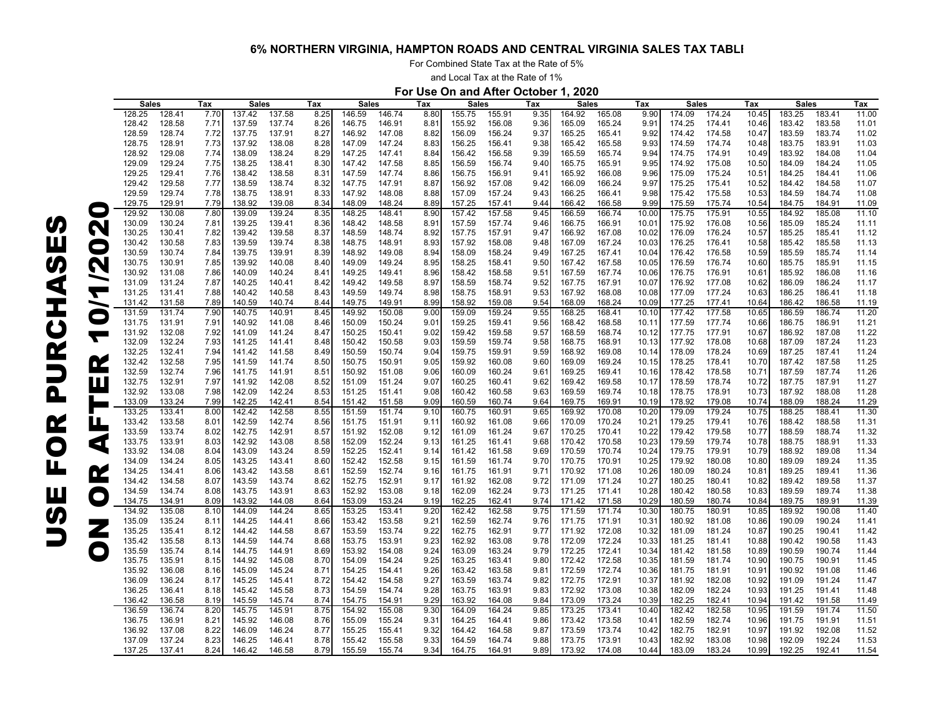For Combined State Tax at the Rate of 5%

and Local Tax at the Rate of 1%

# **For Use On and After October 1, 2020**

|           | <b>Sales</b> |        | Tax  | <b>Sales</b> |        | Tax  | <b>Sales</b> |        | Tax  | <b>Sales</b> |        | Tax  | Sales  |        | Tax   | <b>Sales</b> |        | Tax   | <b>Sales</b> |        | Tax   |
|-----------|--------------|--------|------|--------------|--------|------|--------------|--------|------|--------------|--------|------|--------|--------|-------|--------------|--------|-------|--------------|--------|-------|
|           | 128.25       | 128.41 | 7.70 | 137.42       | 137.58 | 8.25 | 146.59       | 146.74 | 8.80 | 155.75       | 155.91 | 9.35 | 164.92 | 165.08 | 9.90  | 174.09       | 174.24 | 10.45 | 183.25       | 183.41 | 11.00 |
|           | 128.42       | 128.58 | 7.71 | 137.59       | 137.74 | 8.26 | 146.75       | 146.91 | 8.81 | 155.92       | 156.08 | 9.36 | 165.09 | 165.24 | 9.91  | 174.25       | 174.41 | 10.46 | 183.42       | 183.58 | 11.01 |
|           | 128.59       | 128.74 | 7.72 | 137.75       | 137.91 | 8.27 | 146.92       | 147.08 | 8.82 | 156.09       | 156.24 | 9.37 | 165.25 | 165.41 | 9.92  | 174.42       | 174.58 | 10.47 | 183.59       | 183.74 | 11.02 |
|           | 128.75       | 128.91 | 7.73 | 137.92       | 138.08 | 8.28 | 147.09       | 147.24 | 8.83 | 156.25       | 156.41 | 9.38 | 165.42 | 165.58 | 9.93  | 174.59       | 174.74 | 10.48 | 183.75       | 183.91 | 11.03 |
|           |              | 129.08 |      | 138.09       | 138.24 | 8.29 | 147.25       |        |      | 156.42       | 156.58 | 9.39 |        | 165.74 | 9.94  | 174.75       |        | 10.49 | 183.92       | 184.08 | 11.04 |
|           | 128.92       |        | 7.74 |              |        |      |              | 147.41 | 8.84 |              |        |      | 165.59 |        |       |              | 174.91 |       |              |        |       |
|           | 129.09       | 129.24 | 7.75 | 138.25       | 138.41 | 8.30 | 147.42       | 147.58 | 8.85 | 156.59       | 156.74 | 9.40 | 165.75 | 165.91 | 9.95  | 174.92       | 175.08 | 10.50 | 184.09       | 184.24 | 11.05 |
|           | 129.25       | 129.41 | 7.76 | 138.42       | 138.58 | 8.31 | 147.59       | 147.74 | 8.86 | 156.75       | 156.91 | 9.41 | 165.92 | 166.08 | 9.96  | 175.09       | 175.24 | 10.51 | 184.25       | 184.41 | 11.06 |
|           | 129.42       | 129.58 | 7.77 | 138.59       | 138.74 | 8.32 | 147.75       | 147.91 | 8.87 | 156.92       | 157.08 | 9.42 | 166.09 | 166.24 | 9.97  | 175.25       | 175.41 | 10.52 | 184.42       | 184.58 | 11.07 |
|           | 129.59       | 129.74 | 7.78 | 138.75       | 138.91 | 8.33 | 147.92       | 148.08 | 8.88 | 157.09       | 157.24 | 9.43 | 166.25 | 166.41 | 9.98  | 175.42       | 175.58 | 10.53 | 184.59       | 184.74 | 11.08 |
|           | 129.75       | 129.91 | 7.79 | 138.92       | 139.08 | 8.34 | 148.09       | 148.24 | 8.89 | 157.25       | 157.41 | 9.44 | 166.42 | 166.58 | 9.99  | 175.59       | 175.74 | 10.54 | 184.75       | 184.91 | 11.09 |
|           | 129.92       | 130.08 | 7.80 | 139.09       | 139.24 | 8.35 | 148.25       | 148.41 | 8.90 | 157.42       | 157.58 | 9.45 | 166.59 | 166.74 | 10.00 | 175.75       | 175.91 | 10.55 | 184.92       | 185.08 | 11.10 |
|           | 130.09       | 130.24 | 7.81 | 139.25       | 139.41 | 8.36 | 148.42       | 148.58 | 8.91 | 157.59       | 157.74 | 9.46 | 166.75 | 166.91 | 10.01 | 175.92       | 176.08 | 10.56 | 185.09       | 185.24 | 11.11 |
| N         | 130.25       | 130.41 | 7.82 | 139.42       | 139.58 | 8.37 | 148.59       | 148.74 | 8.92 | 157.75       | 157.91 | 9.47 | 166.92 | 167.08 | 10.02 | 176.09       | 176.24 | 10.57 | 185.25       | 185.41 | 11.12 |
|           | 130.42       | 130.58 | 7.83 | 139.59       | 139.74 | 8.38 | 148.75       | 148.91 | 8.93 | 157.92       | 158.08 | 9.48 | 167.09 | 167.24 | 10.03 | 176.25       | 176.41 | 10.58 | 185.42       | 185.58 | 11.13 |
| $\bullet$ | 130.59       | 130.74 | 7.84 | 139.75       | 139.91 | 8.39 | 148.92       | 149.08 | 8.94 | 158.09       | 158.24 | 9.49 | 167.25 | 167.41 | 10.04 | 176.42       | 176.58 | 10.59 | 185.59       | 185.74 | 11.14 |
|           |              |        |      |              |        |      |              |        |      |              |        |      |        |        |       |              |        |       |              |        |       |
| N         | 130.75       | 130.91 | 7.85 | 139.92       | 140.08 | 8.40 | 149.09       | 149.24 | 8.95 | 158.25       | 158.41 | 9.50 | 167.42 | 167.58 | 10.05 | 176.59       | 176.74 | 10.60 | 185.75       | 185.91 | 11.15 |
| ∽         | 130.92       | 131.08 | 7.86 | 140.09       | 140.24 | 8.41 | 149.25       | 149.41 | 8.96 | 158.42       | 158.58 | 9.51 | 167.59 | 167.74 | 10.06 | 176.75       | 176.91 | 10.61 | 185.92       | 186.08 | 11.16 |
|           | 131.09       | 131.24 | 7.87 | 140.25       | 140.41 | 8.42 | 149.42       | 149.58 | 8.97 | 158.59       | 158.74 | 9.52 | 167.75 | 167.91 | 10.07 | 176.92       | 177.08 | 10.62 | 186.09       | 186.24 | 11.17 |
| ┯         | 131.25       | 131.41 | 7.88 | 140.42       | 140.58 | 8.43 | 149.59       | 149.74 | 8.98 | 158.75       | 158.91 | 9.53 | 167.92 | 168.08 | 10.08 | 177.09       | 177.24 | 10.63 | 186.25       | 186.41 | 11.18 |
| ∽         | 131.42       | 131.58 | 7.89 | 140.59       | 140.74 | 8.44 | 149.75       | 149.91 | 8.99 | 158.92       | 159.08 | 9.54 | 168.09 | 168.24 | 10.09 | 177.25       | 177.41 | 10.64 | 186.42       | 186.58 | 11.19 |
|           | 131.59       | 131.74 | 7.90 | 140.75       | 140.91 | 8.45 | 149.92       | 150.08 | 9.00 | 159.09       | 159.24 | 9.55 | 168.25 | 168.41 | 10.10 | 177.42       | 177.58 | 10.65 | 186.59       | 186.74 | 11.20 |
|           | 131.75       | 131.91 | 7.91 | 140.92       | 141.08 | 8.46 | 150.09       | 150.24 | 9.01 | 159.25       | 159.41 | 9.56 | 168.42 | 168.58 | 10.11 | 177.59       | 177.74 | 10.66 | 186.75       | 186.91 | 11.21 |
|           | 131.92       | 132.08 | 7.92 | 141.09       | 141.24 | 8.47 | 150.25       | 150.41 | 9.02 | 159.42       | 159.58 | 9.57 | 168.59 | 168.74 | 10.12 | 177.75       | 177.91 | 10.67 | 186.92       | 187.08 | 11.22 |
|           | 132.09       | 132.24 | 7.93 | 141.25       | 141.41 | 8.48 | 150.42       | 150.58 | 9.03 | 159.59       | 159.74 | 9.58 | 168.75 | 168.91 | 10.13 | 177.92       | 178.08 | 10.68 | 187.09       | 187.24 | 11.23 |
|           | 132.25       | 132.41 | 7.94 | 141.42       | 141.58 | 8.49 | 150.59       | 150.74 | 9.04 | 159.75       | 159.91 | 9.59 | 168.92 | 169.08 | 10.14 | 178.09       | 178.24 | 10.69 | 187.25       | 187.41 | 11.24 |
|           |              |        |      |              |        |      |              |        |      |              |        |      |        |        |       |              |        |       |              |        |       |
| œ         | 132.42       | 132.58 | 7.95 | 141.59       | 141.74 | 8.50 | 150.75       | 150.91 | 9.05 | 159.92       | 160.08 | 9.60 | 169.09 | 169.24 | 10.15 | 178.25       | 178.41 | 10.70 | 187.42       | 187.58 | 11.25 |
|           | 132.59       | 132.74 | 7.96 | 141.75       | 141.91 | 8.51 | 150.92       | 151.08 | 9.06 | 160.09       | 160.24 | 9.61 | 169.25 | 169.41 | 10.16 | 178.42       | 178.58 | 10.71 | 187.59       | 187.74 | 11.26 |
| Ш         | 132.75       | 132.91 | 7.97 | 141.92       | 142.08 | 8.52 | 151.09       | 151.24 | 9.07 | 160.25       | 160.41 | 9.62 | 169.42 | 169.58 | 10.17 | 178.59       | 178.74 | 10.72 | 187.75       | 187.91 | 11.27 |
|           | 132.92       | 133.08 | 7.98 | 142.09       | 142.24 | 8.53 | 151.25       | 151.41 | 9.08 | 160.42       | 160.58 | 9.63 | 169.59 | 169.74 | 10.18 | 178.75       | 178.91 | 10.73 | 187.92       | 188.08 | 11.28 |
|           | 133.09       | 133.24 | 7.99 | 142.25       | 142.41 | 8.54 | 151.42       | 151.58 | 9.09 | 160.59       | 160.74 | 9.64 | 169.75 | 169.91 | 10.19 | 178.92       | 179.08 | 10.74 | 188.09       | 188.24 | 11.29 |
|           | 133.25       | 133.41 | 8.00 | 142.42       | 142.58 | 8.55 | 151.59       | 151.74 | 9.10 | 160.75       | 160.91 | 9.65 | 169.92 | 170.08 | 10.20 | 179.09       | 179.24 | 10.75 | 188.25       | 188.41 | 11.30 |
| Ш         | 133.42       | 133.58 | 8.01 | 142.59       | 142.74 | 8.56 | 151.75       | 151.91 | 9.11 | 160.92       | 161.08 | 9.66 | 170.09 | 170.24 | 10.21 | 179.25       | 179.41 | 10.76 | 188.42       | 188.58 | 11.31 |
|           | 133.59       | 133.74 | 8.02 | 142.75       | 142.91 | 8.57 | 151.92       | 152.08 | 9.12 | 161.09       | 161.24 | 9.67 | 170.25 | 170.41 | 10.22 | 179.42       | 179.58 | 10.77 | 188.59       | 188.74 | 11.32 |
|           | 133.75       | 133.91 | 8.03 | 142.92       | 143.08 | 8.58 | 152.09       | 152.24 | 9.13 | 161.25       | 161.41 | 9.68 | 170.42 | 170.58 | 10.23 | 179.59       | 179.74 | 10.78 | 188.75       | 188.91 | 11.33 |
| Q         | 133.92       | 134.08 | 8.04 | 143.09       | 143.24 | 8.59 | 152.25       | 152.41 | 9.14 | 161.42       | 161.58 | 9.69 | 170.59 | 170.74 | 10.24 | 179.75       | 179.91 | 10.79 | 188.92       | 189.08 | 11.34 |
|           | 134.09       | 134.24 | 8.05 | 143.25       | 143.41 | 8.60 | 152.42       | 152.58 | 9.15 | 161.59       | 161.74 | 9.70 | 170.75 | 170.91 | 10.25 | 179.92       | 180.08 | 10.80 | 189.09       | 189.24 | 11.35 |
|           |              |        |      |              |        |      |              |        |      |              |        |      |        |        |       |              |        |       |              |        |       |
| <u>r</u>  | 134.25       | 134.41 | 8.06 | 143.42       | 143.58 | 8.61 | 152.59       | 152.74 | 9.16 | 161.75       | 161.91 | 9.71 | 170.92 | 171.08 | 10.26 | 180.09       | 180.24 | 10.81 | 189.25       | 189.41 | 11.36 |
|           | 134.42       | 134.58 | 8.07 | 143.59       | 143.74 | 8.62 | 152.75       | 152.91 | 9.17 | 161.92       | 162.08 | 9.72 | 171.09 | 171.24 | 10.27 | 180.25       | 180.41 | 10.82 | 189.42       | 189.58 | 11.37 |
| $\bullet$ | 134.59       | 134.74 | 8.08 | 143.75       | 143.91 | 8.63 | 152.92       | 153.08 | 9.18 | 162.09       | 162.24 | 9.73 | 171.25 | 171.41 | 10.28 | 180.42       | 180.58 | 10.83 | 189.59       | 189.74 | 11.38 |
|           | 134.75       | 134.91 | 8.09 | 143.92       | 144.08 | 8.64 | 153.09       | 153.24 | 9.19 | 162.25       | 162.41 | 9.74 | 171.42 | 171.58 | 10.29 | 180.59       | 180.74 | 10.84 | 189.75       | 189.91 | 11.39 |
|           | 134.92       | 135.08 | 8.10 | 144.09       | 144.24 | 8.65 | 153.25       | 153.41 | 9.20 | 162.42       | 162.58 | 9.75 | 171.59 | 171.74 | 10.30 | 180.75       | 180.91 | 10.85 | 189.92       | 190.08 | 11.40 |
|           | 135.09       | 135.24 | 8.11 | 144.25       | 144.41 | 8.66 | 153.42       | 153.58 | 9.21 | 162.59       | 162.74 | 9.76 | 171.75 | 171.91 | 10.31 | 180.92       | 181.08 | 10.86 | 190.09       | 190.24 | 11.41 |
|           | 135.25       | 135.41 | 8.12 | 144.42       | 144.58 | 8.67 | 153.59       | 153.74 | 9.22 | 162.75       | 162.91 | 9.77 | 171.92 | 172.08 | 10.32 | 181.09       | 181.24 | 10.87 | 190.25       | 190.41 | 11.42 |
|           | 135.42       | 135.58 | 8.13 | 144.59       | 144.74 | 8.68 | 153.75       | 153.91 | 9.23 | 162.92       | 163.08 | 9.78 | 172.09 | 172.24 | 10.33 | 181.25       | 181.41 | 10.88 | 190.42       | 190.58 | 11.43 |
| $\bullet$ | 135.59       | 135.74 | 8.14 | 144.75       | 144.91 | 8.69 | 153.92       | 154.08 | 9.24 | 163.09       | 163.24 | 9.79 | 172.25 | 172.41 | 10.34 | 181.42       | 181.58 | 10.89 | 190.59       | 190.74 | 11.44 |
|           | 135.75       | 135.91 | 8.15 | 144.92       | 145.08 | 8.70 | 154.09       | 154.24 | 9.25 | 163.25       | 163.41 | 9.80 | 172.42 | 172.58 | 10.35 | 181.59       | 181.74 | 10.90 | 190.75       | 190.91 | 11.45 |
|           |              |        |      |              |        |      |              |        |      |              |        |      |        |        |       |              |        |       |              |        |       |
|           | 135.92       | 136.08 | 8.16 | 145.09       | 145.24 | 8.71 | 154.25       | 154.41 | 9.26 | 163.42       | 163.58 | 9.81 | 172.59 | 172.74 | 10.36 | 181.75       | 181.91 | 10.91 | 190.92       | 191.08 | 11.46 |
|           | 136.09       | 136.24 | 8.17 | 145.25       | 145.41 | 8.72 | 154.42       | 154.58 | 9.27 | 163.59       | 163.74 | 9.82 | 172.75 | 172.91 | 10.37 | 181.92       | 182.08 | 10.92 | 191.09       | 191.24 | 11.47 |
|           | 136.25       | 136.41 | 8.18 | 145.42       | 145.58 | 8.73 | 154.59       | 154.74 | 9.28 | 163.75       | 163.91 | 9.83 | 172.92 | 173.08 | 10.38 | 182.09       | 182.24 | 10.93 | 191.25       | 191.41 | 11.48 |
|           | 136.42       | 136.58 | 8.19 | 145.59       | 145.74 | 8.74 | 154.75       | 154.91 | 9.29 | 163.92       | 164.08 | 9.84 | 173.09 | 173.24 | 10.39 | 182.25       | 182.41 | 10.94 | 191.42       | 191.58 | 11.49 |
|           | 136.59       | 136.74 | 8.20 | 145.75       | 145.91 | 8.75 | 154.92       | 155.08 | 9.30 | 164.09       | 164.24 | 9.85 | 173.25 | 173.41 | 10.40 | 182.42       | 182.58 | 10.95 | 191.59       | 191.74 | 11.50 |
|           | 136.75       | 136.91 | 8.21 | 145.92       | 146.08 | 8.76 | 155.09       | 155.24 | 9.31 | 164.25       | 164.41 | 9.86 | 173.42 | 173.58 | 10.41 | 182.59       | 182.74 | 10.96 | 191.75       | 191.91 | 11.51 |
|           | 136.92       | 137.08 | 8.22 | 146.09       | 146.24 | 8.77 | 155.25       | 155.41 | 9.32 | 164.42       | 164.58 | 9.87 | 173.59 | 173.74 | 10.42 | 182.75       | 182.91 | 10.97 | 191.92       | 192.08 | 11.52 |
|           | 137.09       | 137.24 | 8.23 | 146.25       | 146.41 | 8.78 | 155.42       | 155.58 | 9.33 | 164.59       | 164.74 | 9.88 | 173.75 | 173.91 | 10.43 | 182.92       | 183.08 | 10.98 | 192.09       | 192.24 | 11.53 |
|           | 137.25       | 137.41 | 8.24 | 146.42       | 146.58 | 8.79 | 155.59       | 155.74 | 9.34 | 164.75       | 164.91 | 9.89 | 173.92 | 174.08 | 10.44 | 183.09       | 183.24 | 10.99 | 192.25       | 192.41 | 11.54 |
|           |              |        |      |              |        |      |              |        |      |              |        |      |        |        |       |              |        |       |              |        |       |